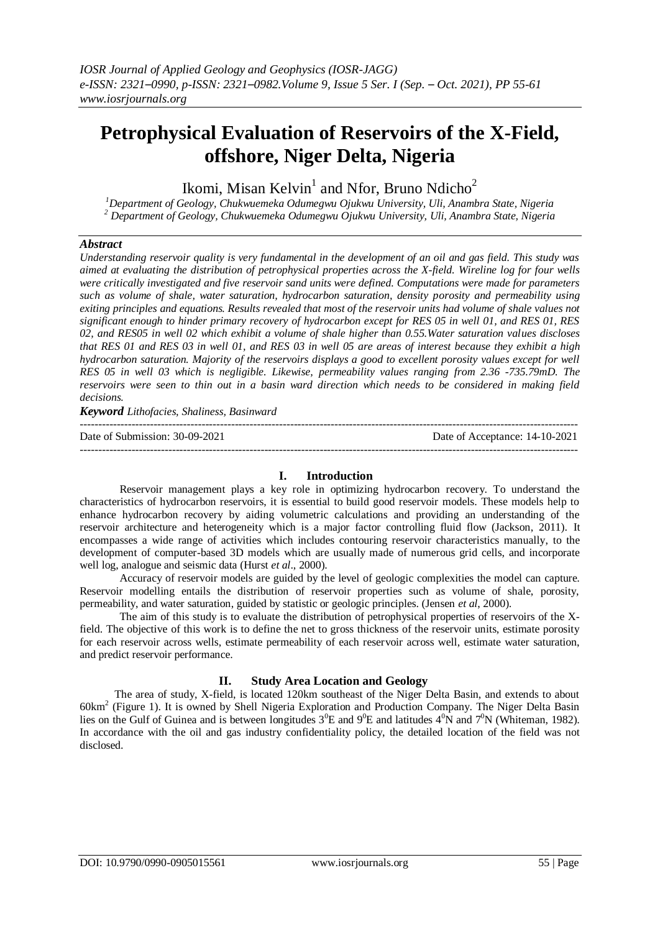# **Petrophysical Evaluation of Reservoirs of the X-Field, offshore, Niger Delta, Nigeria**

Ikomi, Misan Kelvin $^1$  and Nfor, Bruno Ndicho $^2$ 

*<sup>1</sup>Department of Geology, Chukwuemeka Odumegwu Ojukwu University, Uli, Anambra State, Nigeria <sup>2</sup> Department of Geology, Chukwuemeka Odumegwu Ojukwu University, Uli, Anambra State, Nigeria*

## *Abstract*

*Understanding reservoir quality is very fundamental in the development of an oil and gas field. This study was aimed at evaluating the distribution of petrophysical properties across the X-field. Wireline log for four wells were critically investigated and five reservoir sand units were defined. Computations were made for parameters such as volume of shale, water saturation, hydrocarbon saturation, density porosity and permeability using exiting principles and equations. Results revealed that most of the reservoir units had volume of shale values not significant enough to hinder primary recovery of hydrocarbon except for RES 05 in well 01, and RES 01, RES 02, and RES05 in well 02 which exhibit a volume of shale higher than 0.55.Water saturation values discloses that RES 01 and RES 03 in well 01, and RES 03 in well 05 are areas of interest because they exhibit a high hydrocarbon saturation. Majority of the reservoirs displays a good to excellent porosity values except for well RES 05 in well 03 which is negligible. Likewise, permeability values ranging from 2.36 -735.79mD. The reservoirs were seen to thin out in a basin ward direction which needs to be considered in making field decisions.*

*Keyword Lithofacies, Shaliness, Basinward*

--------------------------------------------------------------------------------------------------------------------------------------- Date of Submission: 30-09-2021 Date of Acceptance: 14-10-2021 ---------------------------------------------------------------------------------------------------------------------------------------

#### **I. Introduction**

Reservoir management plays a key role in optimizing hydrocarbon recovery. To understand the characteristics of hydrocarbon reservoirs, it is essential to build good reservoir models. These models help to enhance hydrocarbon recovery by aiding volumetric calculations and providing an understanding of the reservoir architecture and heterogeneity which is a major factor controlling fluid flow (Jackson, 2011). It encompasses a wide range of activities which includes contouring reservoir characteristics manually, to the development of computer-based 3D models which are usually made of numerous grid cells, and incorporate well log, analogue and seismic data (Hurst *et al*., 2000).

Accuracy of reservoir models are guided by the level of geologic complexities the model can capture. Reservoir modelling entails the distribution of reservoir properties such as volume of shale, porosity, permeability, and water saturation, guided by statistic or geologic principles. (Jensen *et al*, 2000).

The aim of this study is to evaluate the distribution of petrophysical properties of reservoirs of the Xfield. The objective of this work is to define the net to gross thickness of the reservoir units, estimate porosity for each reservoir across wells, estimate permeability of each reservoir across well, estimate water saturation, and predict reservoir performance.

## **II. Study Area Location and Geology**

The area of study, X-field, is located 120km southeast of the Niger Delta Basin, and extends to about 60km<sup>2</sup> (Figure 1). It is owned by Shell Nigeria Exploration and Production Company. The Niger Delta Basin lies on the Gulf of Guinea and is between longitudes  $3^0E$  and  $9^0E$  and latitudes  $4^0N$  and  $7^0N$  (Whiteman, 1982). In accordance with the oil and gas industry confidentiality policy, the detailed location of the field was not disclosed.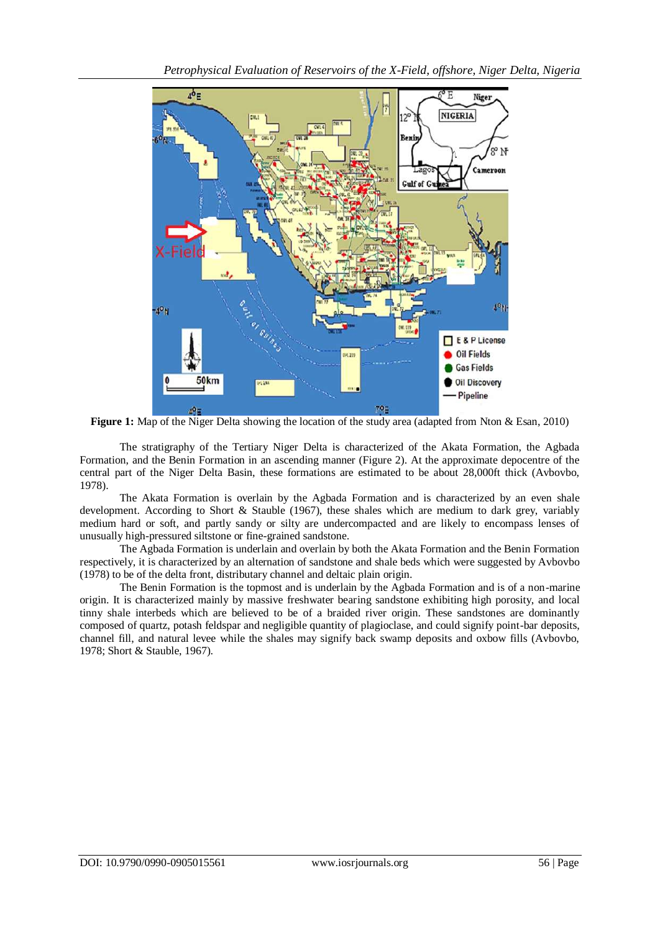

**Figure 1:** Map of the Niger Delta showing the location of the study area (adapted from Nton & Esan, 2010)

The stratigraphy of the Tertiary Niger Delta is characterized of the Akata Formation, the Agbada Formation, and the Benin Formation in an ascending manner (Figure 2). At the approximate depocentre of the central part of the Niger Delta Basin, these formations are estimated to be about 28,000ft thick (Avbovbo, 1978).

The Akata Formation is overlain by the Agbada Formation and is characterized by an even shale development. According to Short & Stauble (1967), these shales which are medium to dark grey, variably medium hard or soft, and partly sandy or silty are undercompacted and are likely to encompass lenses of unusually high-pressured siltstone or fine-grained sandstone.

The Agbada Formation is underlain and overlain by both the Akata Formation and the Benin Formation respectively, it is characterized by an alternation of sandstone and shale beds which were suggested by Avbovbo (1978) to be of the delta front, distributary channel and deltaic plain origin.

The Benin Formation is the topmost and is underlain by the Agbada Formation and is of a non-marine origin. It is characterized mainly by massive freshwater bearing sandstone exhibiting high porosity, and local tinny shale interbeds which are believed to be of a braided river origin. These sandstones are dominantly composed of quartz, potash feldspar and negligible quantity of plagioclase, and could signify point-bar deposits, channel fill, and natural levee while the shales may signify back swamp deposits and oxbow fills (Avbovbo, 1978; Short & Stauble, 1967).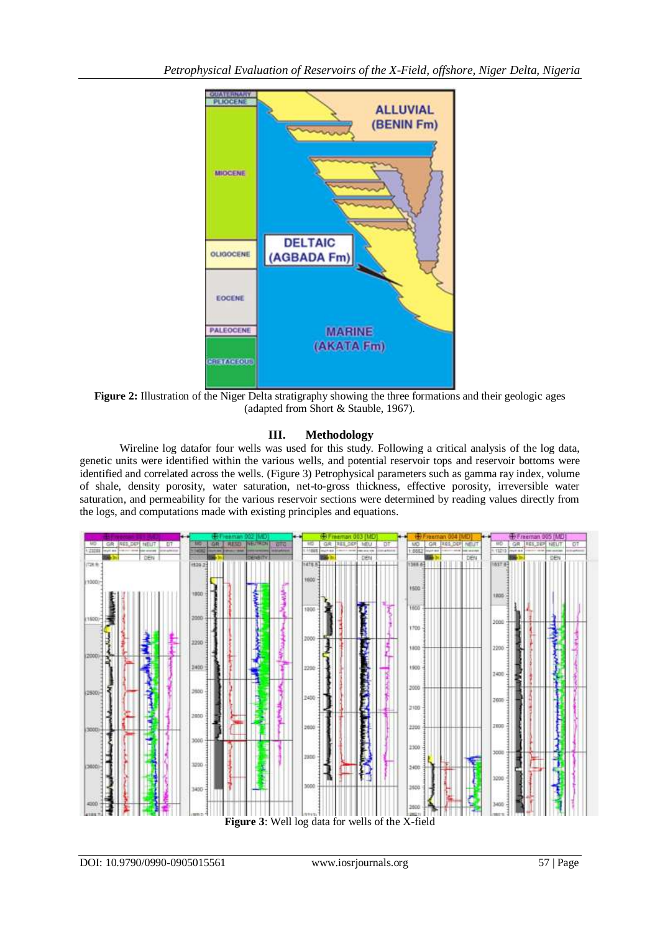

Figure 2: Illustration of the Niger Delta stratigraphy showing the three formations and their geologic ages (adapted from Short & Stauble, 1967).

## **III. Methodology**

Wireline log datafor four wells was used for this study. Following a critical analysis of the log data, genetic units were identified within the various wells, and potential reservoir tops and reservoir bottoms were identified and correlated across the wells. (Figure 3) Petrophysical parameters such as gamma ray index, volume of shale, density porosity, water saturation, net-to-gross thickness, effective porosity, irreversible water saturation, and permeability for the various reservoir sections were determined by reading values directly from the logs, and computations made with existing principles and equations.



**Figure 3**: Well log data for wells of the X-field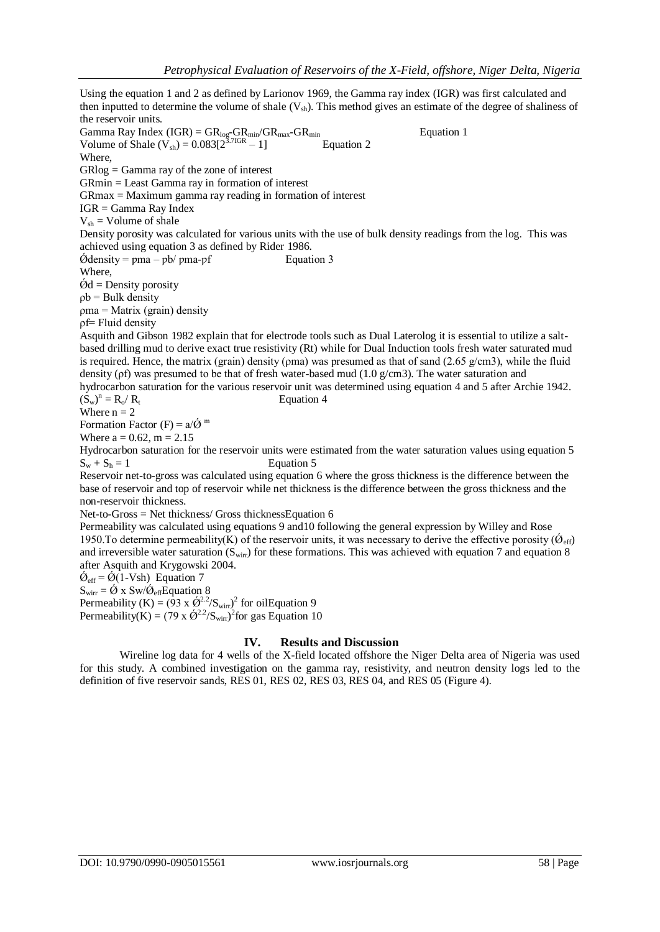Using the equation 1 and 2 as defined by Larionov 1969, the Gamma ray index (IGR) was first calculated and then inputted to determine the volume of shale  $(V_{sh})$ . This method gives an estimate of the degree of shaliness of the reservoir units. Gamma Ray Index  $(IGR) = GR_{log}-GR_{min}/GR_{max}-GR_{min}$  Equation 1 Volume of Shale  $(V_{sh}) = 0.083[2^{3.7IGR} - 1]$  Equation 2 Where, GRlog = Gamma ray of the zone of interest GRmin = Least Gamma ray in formation of interest GRmax = Maximum gamma ray reading in formation of interest IGR = Gamma Ray Index  $V_{sh}$  = Volume of shale Density porosity was calculated for various units with the use of bulk density readings from the log. This was achieved using equation 3 as defined by Rider 1986.  $\acute{\text{O}}$ density = pma – pb/ pma-pf Equation 3 Where,  $\dot{\text{Q}}$ d = Density porosity  $pb =$  Bulk density ρma = Matrix (grain) density ρf= Fluid density Asquith and Gibson 1982 explain that for electrode tools such as Dual Laterolog it is essential to utilize a saltbased drilling mud to derive exact true resistivity (Rt) while for Dual Induction tools fresh water saturated mud is required. Hence, the matrix (grain) density ( $p$ ma) was presumed as that of sand (2.65 g/cm3), while the fluid density (ρf) was presumed to be that of fresh water-based mud (1.0 g/cm3). The water saturation and hydrocarbon saturation for the various reservoir unit was determined using equation 4 and 5 after Archie 1942.  $(S_w)^n$ Equation 4 Where  $n = 2$ Formation Factor  $(F) = a/\acute{Q}$ <sup>m</sup> Where  $a = 0.62$ ,  $m = 2.15$ Hydrocarbon saturation for the reservoir units were estimated from the water saturation values using equation 5  $S_w + S_h = 1$  Equation 5 Reservoir net-to-gross was calculated using equation 6 where the gross thickness is the difference between the base of reservoir and top of reservoir while net thickness is the difference between the gross thickness and the non-reservoir thickness. Net-to-Gross = Net thickness/ Gross thicknessEquation 6 Permeability was calculated using equations 9 and10 following the general expression by Willey and Rose 1950. To determine permeability(K) of the reservoir units, it was necessary to derive the effective porosity ( $\dot{Q}_{\text{eff}}$ ) and irreversible water saturation ( $S_{\text{win}}$ ) for these formations. This was achieved with equation 7 and equation 8 after Asquith and Krygowski 2004.  $\dot{Q}_{eff} = \dot{Q}(1-Vsh)$  Equation 7  $S_{\text{wirr}} = \hat{Q} \times \text{Sw}/\hat{Q}_{\text{eff}}$ Equation 8 Permeability (K) =  $(93 \times \hat{Q}^2 / S_{\text{wirr}})^2$  for oilEquation 9 Permeability(K) =  $(79 \times \hat{\mathcal{O}}^{2.2} / S_{\text{wirr}})^2$  for gas Equation 10

## **IV. Results and Discussion**

Wireline log data for 4 wells of the X-field located offshore the Niger Delta area of Nigeria was used for this study. A combined investigation on the gamma ray, resistivity, and neutron density logs led to the definition of five reservoir sands, RES 01, RES 02, RES 03, RES 04, and RES 05 (Figure 4).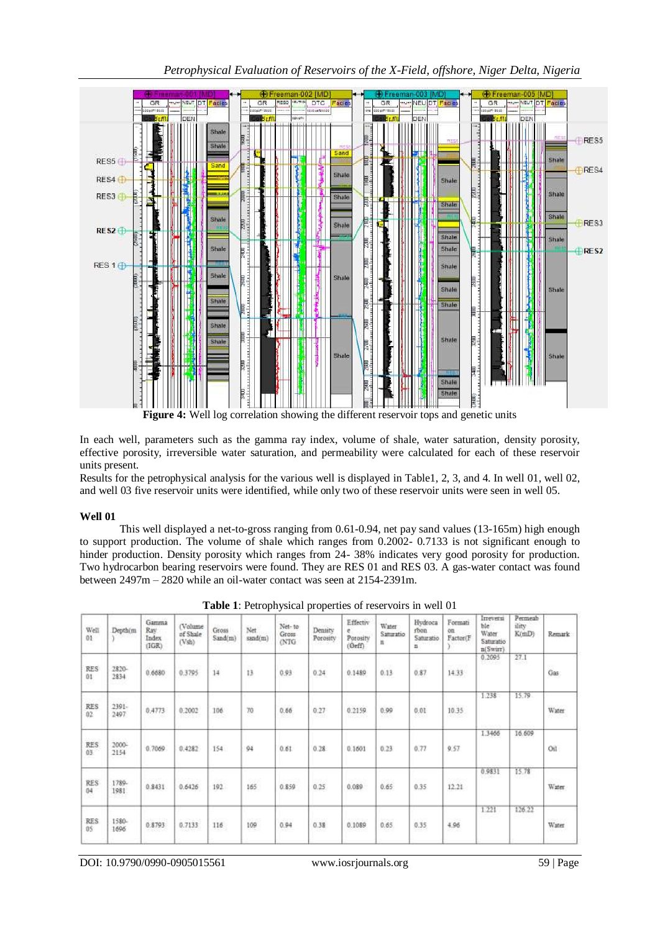*Petrophysical Evaluation of Reservoirs of the X-Field, offshore, Niger Delta, Nigeria*



**Figure 4:** Well log correlation showing the different reservoir tops and genetic units

In each well, parameters such as the gamma ray index, volume of shale, water saturation, density porosity, effective porosity, irreversible water saturation, and permeability were calculated for each of these reservoir units present.

Results for the petrophysical analysis for the various well is displayed in Table1, 2, 3, and 4. In well 01, well 02, and well 03 five reservoir units were identified, while only two of these reservoir units were seen in well 05.

## **Well 01**

This well displayed a net-to-gross ranging from 0.61-0.94, net pay sand values (13-165m) high enough to support production. The volume of shale which ranges from 0.2002- 0.7133 is not significant enough to hinder production. Density porosity which ranges from 24- 38% indicates very good porosity for production. Two hydrocarbon bearing reservoirs were found. They are RES 01 and RES 03. A gas-water contact was found between 2497m – 2820 while an oil-water contact was seen at 2154-2391m.

| Well<br>01               | Depthim                   | Gamma<br>Rav<br>Index<br>(IGR)       | (Volume<br>of Shale<br>(Vsh)         | Gross<br>Sand(m)   | Net<br>sand(m)      | Net-to<br>Gross<br>(NTG) | Density<br>Porosity<br>- 500 50 | Effectiv<br>e<br>Potosity<br>(0eff) | Water<br>Saturatio<br>u | Hydroca<br>rbon<br>Saturatio<br>H | Formati<br>on<br>Factor(F | Irreversi<br>ble<br>Water<br>Saturatio<br>n(Swirr) | Permeab<br>ility<br>K(mD) | Remark       |
|--------------------------|---------------------------|--------------------------------------|--------------------------------------|--------------------|---------------------|--------------------------|---------------------------------|-------------------------------------|-------------------------|-----------------------------------|---------------------------|----------------------------------------------------|---------------------------|--------------|
| <b>RES</b><br>01         | 2820-<br>2834<br>1,000,00 | 0.6680                               | 0.3795                               | on gu<br>14        | tn<br>13            | 0.93                     | 0.24                            | 0.1489                              | $-1.51$<br>0.13         | 0.87                              | Vaccion<br>14.33          | 0.2095                                             | 27.1<br>883               | Gas          |
| <b>RES</b><br>02         | $2391 -$<br>2497          | 0,4773                               | 0.2002                               | 106<br>52562       | 70                  | 0.66                     | 0.27<br>14 Jul                  | 0.2159<br>1929-2027                 | 0.99<br>3202            | 0.01<br>19799                     | 5.55572<br>10.35<br>1931  | 1.238                                              | 15.79                     | Water        |
| <b>RES</b><br>03<br>$-1$ | 2000-<br>2154<br>--       | 0.7069                               | 0.4282                               | 154                | 64                  | 0.61                     | 0.28                            | 0.1601                              | 0.23                    | 0.77                              | 9.57                      | 1.3466                                             | 16.609                    | Oil          |
| RES<br>04<br>38          | 1789-<br>1981<br>-252.    | <b>STEP</b><br>0.8431                | 0.6426                               | 192                | <b>SCART</b><br>165 | 0.859                    | 0.25                            | 0.089                               | 53<br>0.65              | 0.35                              | <b>STAR</b><br>12.21      | 0.9831                                             | 15.78                     | Water        |
| <b>RES</b><br>05         | 1580-<br>1696             | <b>HONGLESS</b><br>0.8793<br>-100000 | <b>Insurance</b><br>0.7133<br>-228.7 | <b>POST</b><br>116 | <b>DOGS</b><br>109  | <b>SEGS</b><br>0.94      | mark<br>0.38                    | <b>RESIDENT</b><br>0.1089           | 00000<br>0.65           | ow<br>0.35                        | 79.093<br>4.96            | 1.221                                              | 126.22                    | <b>Water</b> |

**Table 1**: Petrophysical properties of reservoirs in well 01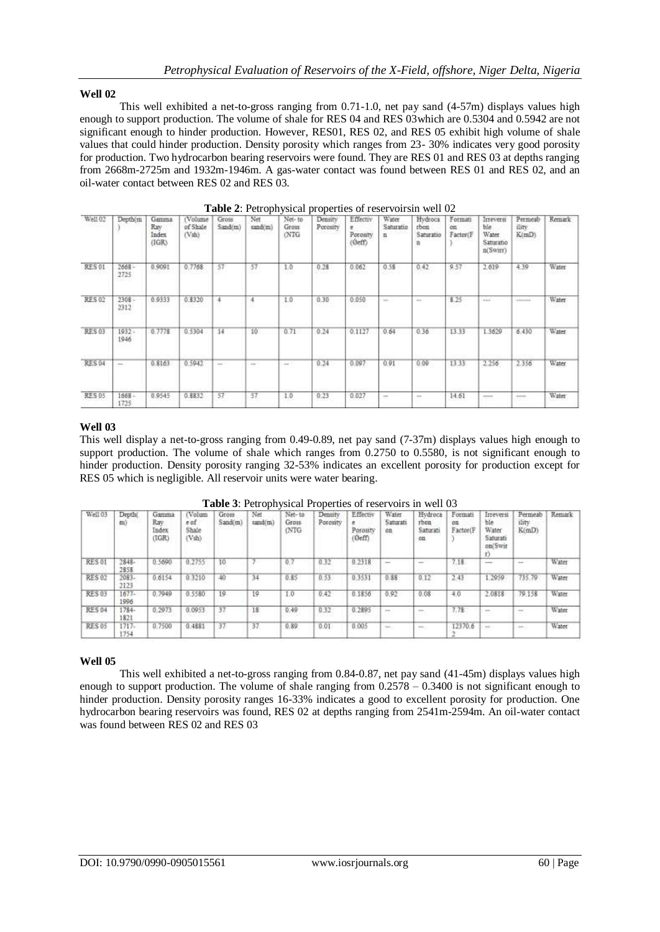## **Well 02**

This well exhibited a net-to-gross ranging from 0.71-1.0, net pay sand (4-57m) displays values high enough to support production. The volume of shale for RES 04 and RES 03which are 0.5304 and 0.5942 are not significant enough to hinder production. However, RES01, RES 02, and RES 05 exhibit high volume of shale values that could hinder production. Density porosity which ranges from 23- 30% indicates very good porosity for production. Two hydrocarbon bearing reservoirs were found. They are RES 01 and RES 03 at depths ranging from 2668m-2725m and 1932m-1946m. A gas-water contact was found between RES 01 and RES 02, and an oil-water contact between RES 02 and RES 03.

| Well 02       | Depth(m)         | Gamma<br>Ray<br>Index<br>(IGR) | (Volume)<br>of Shale<br>(Vsh)<br>mre | Gross<br>Sand(m) | Net<br>sand(m) | Net-10<br>Gross<br>(NTG | Density<br>Porosity | Effectiv<br>٠<br>Porosity<br>(Óeff) | Water<br>Saturatio<br>n | Hydroca<br>rbon<br>Saturatio | Formati<br>on<br>Factor(F) | Inteversi<br>ble.<br>Water.<br>Saturatio<br>n(Swirr) | Permeab<br>ility<br>K(mD) | Remark       |
|---------------|------------------|--------------------------------|--------------------------------------|------------------|----------------|-------------------------|---------------------|-------------------------------------|-------------------------|------------------------------|----------------------------|------------------------------------------------------|---------------------------|--------------|
| RES 01        | $2668 -$<br>2725 | 0.9091<br>120223-01            | 0.7768                               | 57               | 57<br>- 1      | 1.0<br>52               | 0.28<br>1522        | 0.062<br>us                         | 0.58                    | 0.42                         | 9.57<br>5.22               | 2.619<br>52 S.T                                      | 4.39<br>,,,,              | Water        |
| <b>RES 02</b> | $2308 -$<br>2312 | 0.9333                         | 0.8320                               | ÷                | ÷<br>v.        | 1.0<br>99               | 0.30                | 0.050                               | me.                     | $10-4$                       | 8.25                       | 1.11                                                 | <b>NORMAL</b>             | Water        |
| <b>RES 03</b> | $1932 -$<br>1946 | 0.7778                         | 0.5304                               | 14               | 10             | 0.71                    | 0.24                | 0.1127                              | 0.64                    | 0.36                         | 13.33                      | 1.3629                                               | 6.430.                    | <b>Water</b> |
| <b>RES 04</b> | ÷                | 0.8163                         | 0.5942                               | $\sim$           | $\rightarrow$  | $\rightarrow$           | 0.24                | 0.097                               | 0.91                    | 0.09                         | 13.33                      | 2.256                                                | 2.356                     | Water        |
| <b>RES 05</b> | 1668<br>1725     | 0.9545                         | 0.8832                               | 57               | 57             | 1.0                     | 0.23                | 0.027                               | $\sim$                  | $\sim$                       | 14.61                      | per bob                                              | <b>SHAW</b>               | Water        |

|  | Table 2: Petrophysical properties of reservoirsin well 02 |
|--|-----------------------------------------------------------|
|--|-----------------------------------------------------------|

## **Well 03**

This well display a net-to-gross ranging from 0.49-0.89, net pay sand (7-37m) displays values high enough to support production. The volume of shale which ranges from 0.2750 to 0.5580, is not significant enough to hinder production. Density porosity ranging 32-53% indicates an excellent porosity for production except for RES 05 which is negligible. All reservoir units were water bearing.

| Well 03       | Depth(<br>m)     | Gamma<br>Ray<br>Index<br>(IGR) | (Volum<br>e af<br>Shale<br>(Vsh) | Gross<br>Sand(m) | Net<br>sand(m) | Net-10<br>Gross<br>(NTG | Density<br>Porosity     | Effectiv<br>Porosity<br>(Oeff) | Water<br>Sabarah<br>$_{\text{on}}$                                                             | Hydroca<br>rbon<br>Saturati<br>$0\pi$ | Formati<br>$\alpha$<br>Factor(F) | Irreversi<br>ble<br>Water<br>Saturati<br>on(Swir | Permeab<br>ility<br>K(mD)            | Remark          |
|---------------|------------------|--------------------------------|----------------------------------|------------------|----------------|-------------------------|-------------------------|--------------------------------|------------------------------------------------------------------------------------------------|---------------------------------------|----------------------------------|--------------------------------------------------|--------------------------------------|-----------------|
| <b>RES01</b>  | $2848-$<br>2858  | 0.5690                         | 0.2755                           | 10.              |                | 0.                      | 0.32                    | 0.2318                         | $-1$<br>アルフェンティン                                                                               | <b>ALC</b><br>.                       | 7.18                             | <b>Service</b><br>Check control of               | <b>Section</b><br><b>HAS SERVERS</b> | Water           |
| <b>RES 02</b> | $2083-$<br>2123  | 0.6154                         | 0.3210                           | 40               | 34             | 0.85                    | 0.53<br><b>CALL ARE</b> | 0.3531                         | 0.88                                                                                           | 0.12                                  | 2.43                             | 2959                                             | 735.79                               | Water           |
| <b>RES03</b>  | $1677-$<br>1996  | 0.7949                         | 0.5580                           | 19               | 19             | 1.0                     | 0.42                    | 0.1856                         | 0.92                                                                                           | 0.08                                  | 4.0                              | 2.0818                                           | 79.158                               | Water.          |
| <b>RES 04</b> | $1784 -$<br>1821 | 0.2973                         | 0.0953                           | 37               | 18             | 0.49<br>.               | 0.32                    | 0.2895                         | $\cdots$                                                                                       | $-$                                   | 7.78                             | $-$                                              | $-$                                  | Water<br>,,,,,, |
| <b>RES 05</b> | $1717 -$<br>1754 | 0.7500                         | 0.4881                           | 37               | 37             | 0.89                    | 0.01                    | 0.005                          | $\frac{1}{2} \left( \frac{1}{2} \right) \left( \frac{1}{2} \right) \left( \frac{1}{2} \right)$ | $\frac{1}{2}$                         | 12370.6                          | and a                                            | $\frac{1}{2}$                        | Water           |

#### **Well 05**

This well exhibited a net-to-gross ranging from 0.84-0.87, net pay sand (41-45m) displays values high enough to support production. The volume of shale ranging from  $0.2578 - 0.3400$  is not significant enough to hinder production. Density porosity ranges 16-33% indicates a good to excellent porosity for production. One hydrocarbon bearing reservoirs was found, RES 02 at depths ranging from 2541m-2594m. An oil-water contact was found between RES 02 and RES 03